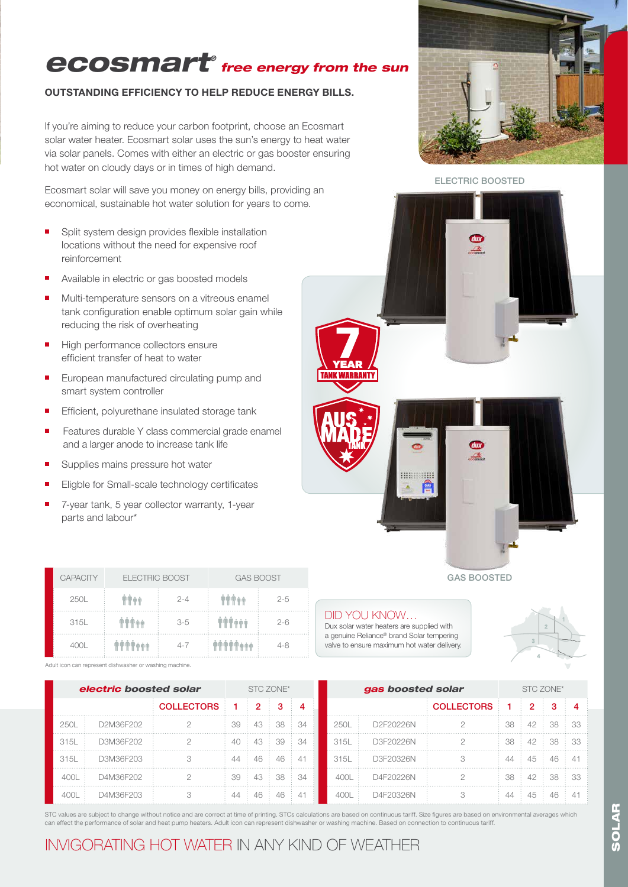## *ecosmart® free energy from the sun*

#### OUTSTANDING EFFICIENCY TO HELP REDUCE ENERGY BILLS.

If you're aiming to reduce your carbon footprint, choose an Ecosmart solar water heater. Ecosmart solar uses the sun's energy to heat water via solar panels. Comes with either an electric or gas booster ensuring hot water on cloudy days or in times of high demand.

Ecosmart solar will save you money on energy bills, providing an economical, sustainable hot water solution for years to come.

- **B** Split system design provides flexible installation locations without the need for expensive roof reinforcement
- Available in electric or gas boosted models
- Multi-temperature sensors on a vitreous enamel tank configuration enable optimum solar gain while reducing the risk of overheating
- High performance collectors ensure  $\blacksquare$ efficient transfer of heat to water
- European manufactured circulating pump and smart system controller
- × Efficient, polyurethane insulated storage tank
- Features durable Y class commercial grade enamel and a larger anode to increase tank life
- É Supplies mains pressure hot water
- Eligble for Small-scale technology certificates
- 7-year tank, 5 year collector warranty, 1-year parts and labour\*

| <b>CAPACITY</b> | <b>ELECTRIC BOOST</b> |         | <b>GAS BOOST</b> |         |
|-----------------|-----------------------|---------|------------------|---------|
| 250L            |                       | $2 - 4$ | TTTAA            | $2 - 5$ |
| 315L            | <b>OPPOO</b>          | $3-5$   | <b>TTT+++</b>    | $2 - 6$ |
| 400L            | ششش (11 T) (11 T) (11 | $4 - 7$ | 用用用用而而而          | 4-8     |

Adult icon can represent dishwasher or washing machine.

*electric boosted solar* STC ZONE\* COLLECTORS 1 2 3 4 250L D2M36F202 2 39 43 38 34 315L D3M36F202 2 40 43 39 34 315L D3M36F203 3 44 46 46 41 400L D4M36F202 2 39 43 38 34 400L D4M36F203 3 44 46 46 41 **gas boosted solar** STC ZONE<sup>\*</sup> COLLECTORS 1 2 3 4 250L D2F20226N 2 38 42 38 33 315L D3F20226N 2 38 42 38 33 315L D3F20326N 3 44 45 46 41 400L D4F20226N 2 38 42 38 33 400L D4F20326N 3 44 45 46 41

STC values are subject to change without notice and are correct at time of printing. STCs calculations are based on continuous tariff. Size figures are based on environmental averages which can effect the performance of solar and heat pump heaters. Adult icon can represent dishwasher or washing machine. Based on connection to continuous tariff.

### INVIGORATING HOT WATER IN ANY KIND OF WEATHER





GAS BOOSTED

#### DID YOU KNOW…

**TANK WARRANTY** 

Dux solar water heaters are supplied with a genuine Reliance® brand Solar tempering valve to ensure maximum hot water delivery.

**HIRRIGHH**